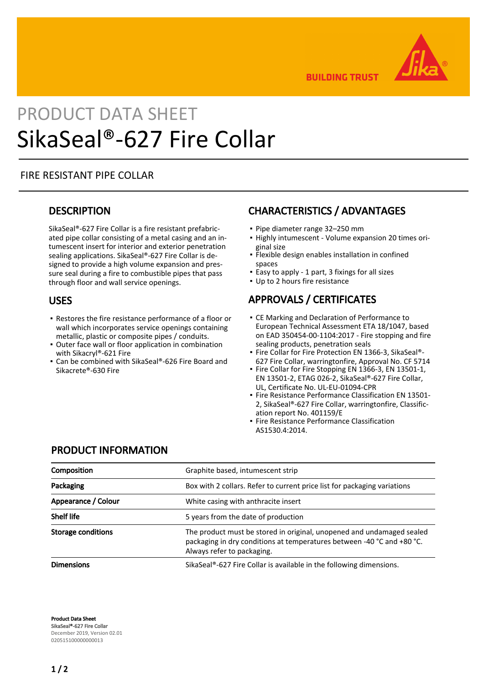

**BUILDING TRUST** 

# PRODUCT DATA SHEET SikaSeal®-627 Fire Collar

#### FIRE RESISTANT PIPE COLLAR

#### **DESCRIPTION**

SikaSeal®-627 Fire Collar is a fire resistant prefabricated pipe collar consisting of a metal casing and an intumescent insert for interior and exterior penetration sealing applications. SikaSeal®-627 Fire Collar is designed to provide a high volume expansion and pressure seal during a fire to combustible pipes that pass through floor and wall service openings.

#### USES

- Restores the fire resistance performance of a floor or wall which incorporates service openings containing metallic, plastic or composite pipes / conduits.
- Outer face wall or floor application in combination with Sikacryl®-621 Fire
- Can be combined with SikaSeal®-626 Fire Board and Sikacrete®-630 Fire

# CHARACTERISTICS / ADVANTAGES

- Pipe diameter range 32–250 mm
- **.** Highly intumescent Volume expansion 20 times original size
- **·** Flexible design enables installation in confined spaces
- **Easy to apply 1 part, 3 fixings for all sizes**
- Up to 2 hours fire resistance

# APPROVALS / CERTIFICATES

- **CE Marking and Declaration of Performance to** European Technical Assessment ETA 18/1047, based on EAD 350454-00-1104:2017 - Fire stopping and fire sealing products, penetration seals
- Fire Collar for Fire Protection EN 1366-3, SikaSeal®-627 Fire Collar, warringtonfire, Approval No. CF 5714
- Fire Collar for Fire Stopping EN 1366-3, EN 13501-1, EN 13501-2, ETAG 026-2, SikaSeal®-627 Fire Collar, UL, Certificate No. UL-EU-01094-CPR
- **Fire Resistance Performance Classification EN 13501-**2, SikaSeal®-627 Fire Collar, warringtonfire, Classification report No. 401159/E
- Fire Resistance Performance Classification AS1530.4:2014.

#### PRODUCT INFORMATION

| Composition               | Graphite based, intumescent strip                                                                                                                                             |  |
|---------------------------|-------------------------------------------------------------------------------------------------------------------------------------------------------------------------------|--|
| Packaging                 | Box with 2 collars. Refer to current price list for packaging variations                                                                                                      |  |
| Appearance / Colour       | White casing with anthracite insert                                                                                                                                           |  |
| <b>Shelf life</b>         | 5 years from the date of production                                                                                                                                           |  |
| <b>Storage conditions</b> | The product must be stored in original, unopened and undamaged sealed<br>packaging in dry conditions at temperatures between -40 °C and +80 °C.<br>Always refer to packaging. |  |
| <b>Dimensions</b>         | SikaSeal®-627 Fire Collar is available in the following dimensions.                                                                                                           |  |

Product Data Sheet SikaSeal®-627 Fire Collar December 2019, Version 02.01 020515100000000013